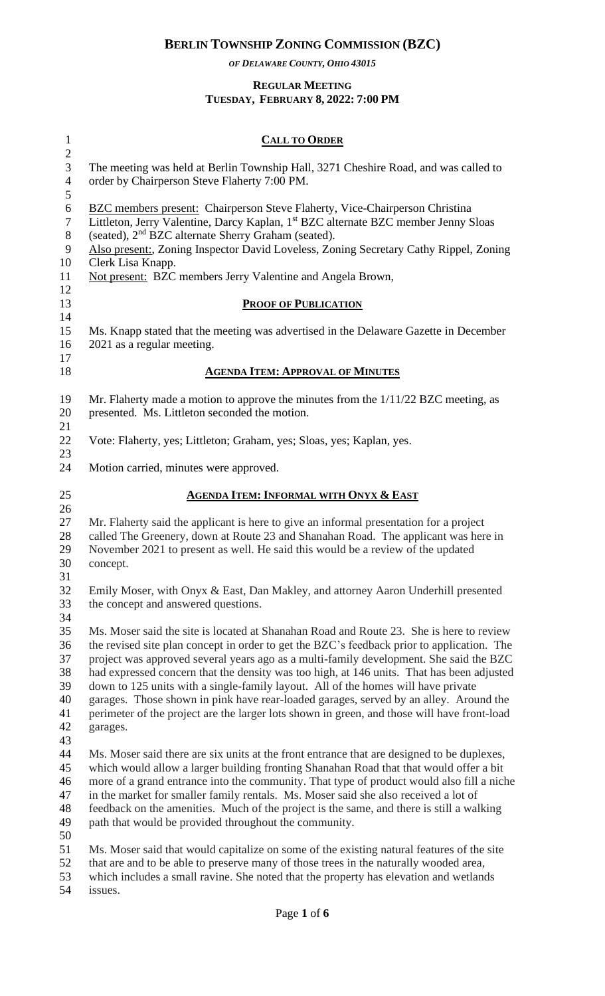*OF DELAWARE COUNTY, OHIO 43015*

#### **REGULAR MEETING TUESDAY, FEBRUARY 8, 2022: 7:00 PM**

| $\mathbf{1}$                                             | <b>CALL TO ORDER</b>                                                                                                                                                                                                                                                                                                                                                                                                                                                                                                                                                                                                                                                  |
|----------------------------------------------------------|-----------------------------------------------------------------------------------------------------------------------------------------------------------------------------------------------------------------------------------------------------------------------------------------------------------------------------------------------------------------------------------------------------------------------------------------------------------------------------------------------------------------------------------------------------------------------------------------------------------------------------------------------------------------------|
| $\overline{2}$<br>3<br>$\overline{4}$<br>5               | The meeting was held at Berlin Township Hall, 3271 Cheshire Road, and was called to<br>order by Chairperson Steve Flaherty 7:00 PM.                                                                                                                                                                                                                                                                                                                                                                                                                                                                                                                                   |
| 6<br>$\overline{7}$<br>8<br>$\mathbf{9}$<br>10           | <b>BZC</b> members present: Chairperson Steve Flaherty, Vice-Chairperson Christina<br>Littleton, Jerry Valentine, Darcy Kaplan, 1 <sup>st</sup> BZC alternate BZC member Jenny Sloas<br>(seated), 2 <sup>nd</sup> BZC alternate Sherry Graham (seated).<br>Also present:, Zoning Inspector David Loveless, Zoning Secretary Cathy Rippel, Zoning<br>Clerk Lisa Knapp.                                                                                                                                                                                                                                                                                                 |
| 11<br>12                                                 | Not present: BZC members Jerry Valentine and Angela Brown,                                                                                                                                                                                                                                                                                                                                                                                                                                                                                                                                                                                                            |
| 13<br>14                                                 | <b>PROOF OF PUBLICATION</b>                                                                                                                                                                                                                                                                                                                                                                                                                                                                                                                                                                                                                                           |
| 15<br>16<br>17                                           | Ms. Knapp stated that the meeting was advertised in the Delaware Gazette in December<br>2021 as a regular meeting.                                                                                                                                                                                                                                                                                                                                                                                                                                                                                                                                                    |
| 18                                                       | <b>AGENDA ITEM: APPROVAL OF MINUTES</b>                                                                                                                                                                                                                                                                                                                                                                                                                                                                                                                                                                                                                               |
| 19<br>20                                                 | Mr. Flaherty made a motion to approve the minutes from the $1/11/22$ BZC meeting, as<br>presented. Ms. Littleton seconded the motion.                                                                                                                                                                                                                                                                                                                                                                                                                                                                                                                                 |
| 21<br>22<br>23                                           | Vote: Flaherty, yes; Littleton; Graham, yes; Sloas, yes; Kaplan, yes.                                                                                                                                                                                                                                                                                                                                                                                                                                                                                                                                                                                                 |
| 24                                                       | Motion carried, minutes were approved.                                                                                                                                                                                                                                                                                                                                                                                                                                                                                                                                                                                                                                |
| 25<br>26                                                 | <b>AGENDA ITEM: INFORMAL WITH ONYX &amp; EAST</b>                                                                                                                                                                                                                                                                                                                                                                                                                                                                                                                                                                                                                     |
| 27<br>28<br>29<br>30                                     | Mr. Flaherty said the applicant is here to give an informal presentation for a project<br>called The Greenery, down at Route 23 and Shanahan Road. The applicant was here in<br>November 2021 to present as well. He said this would be a review of the updated<br>concept.                                                                                                                                                                                                                                                                                                                                                                                           |
| 31<br>32<br>33                                           | Emily Moser, with Onyx & East, Dan Makley, and attorney Aaron Underhill presented<br>the concept and answered questions.                                                                                                                                                                                                                                                                                                                                                                                                                                                                                                                                              |
| 34<br>35<br>36<br>37<br>38<br>39<br>40<br>41<br>42<br>43 | Ms. Moser said the site is located at Shanahan Road and Route 23. She is here to review<br>the revised site plan concept in order to get the BZC's feedback prior to application. The<br>project was approved several years ago as a multi-family development. She said the BZC<br>had expressed concern that the density was too high, at 146 units. That has been adjusted<br>down to 125 units with a single-family layout. All of the homes will have private<br>garages. Those shown in pink have rear-loaded garages, served by an alley. Around the<br>perimeter of the project are the larger lots shown in green, and those will have front-load<br>garages. |
| 44<br>45<br>46<br>47<br>48<br>49                         | Ms. Moser said there are six units at the front entrance that are designed to be duplexes,<br>which would allow a larger building fronting Shanahan Road that that would offer a bit<br>more of a grand entrance into the community. That type of product would also fill a niche<br>in the market for smaller family rentals. Ms. Moser said she also received a lot of<br>feedback on the amenities. Much of the project is the same, and there is still a walking<br>path that would be provided throughout the community.                                                                                                                                         |
| 50<br>51<br>52<br>53                                     | Ms. Moser said that would capitalize on some of the existing natural features of the site<br>that are and to be able to preserve many of those trees in the naturally wooded area,<br>which includes a small ravine. She noted that the property has elevation and wetlands                                                                                                                                                                                                                                                                                                                                                                                           |

issues.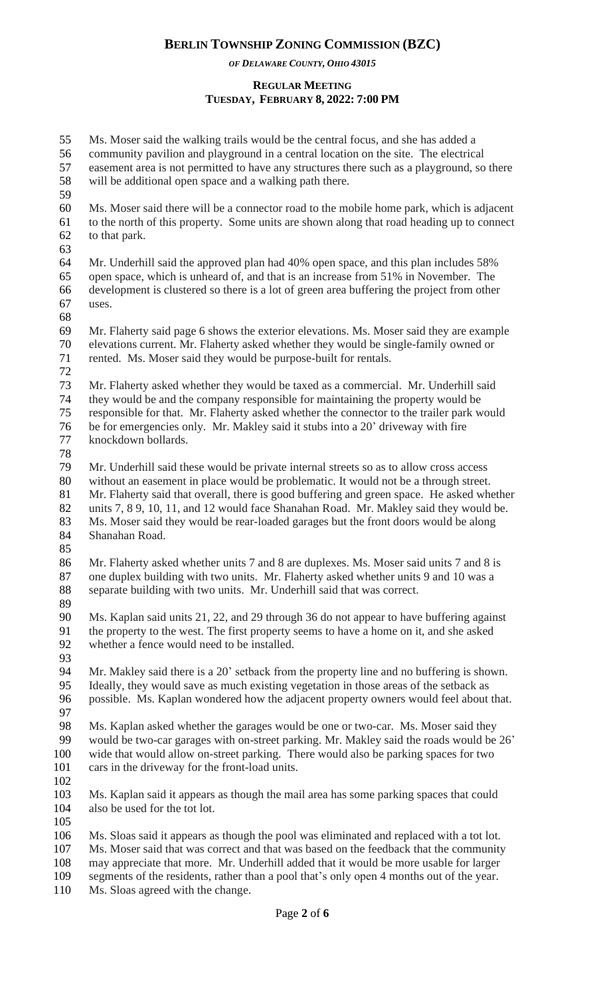*OF DELAWARE COUNTY, OHIO 43015*

## **REGULAR MEETING TUESDAY, FEBRUARY 8, 2022: 7:00 PM**

 Ms. Moser said the walking trails would be the central focus, and she has added a community pavilion and playground in a central location on the site. The electrical easement area is not permitted to have any structures there such as a playground, so there will be additional open space and a walking path there. Ms. Moser said there will be a connector road to the mobile home park, which is adjacent to the north of this property. Some units are shown along that road heading up to connect to that park. Mr. Underhill said the approved plan had 40% open space, and this plan includes 58% open space, which is unheard of, and that is an increase from 51% in November. The development is clustered so there is a lot of green area buffering the project from other uses. Mr. Flaherty said page 6 shows the exterior elevations. Ms. Moser said they are example elevations current. Mr. Flaherty asked whether they would be single-family owned or rented. Ms. Moser said they would be purpose-built for rentals. Mr. Flaherty asked whether they would be taxed as a commercial. Mr. Underhill said they would be and the company responsible for maintaining the property would be responsible for that. Mr. Flaherty asked whether the connector to the trailer park would be for emergencies only. Mr. Makley said it stubs into a 20' driveway with fire knockdown bollards. Mr. Underhill said these would be private internal streets so as to allow cross access without an easement in place would be problematic. It would not be a through street. Mr. Flaherty said that overall, there is good buffering and green space. He asked whether units 7, 8 9, 10, 11, and 12 would face Shanahan Road. Mr. Makley said they would be. Ms. Moser said they would be rear-loaded garages but the front doors would be along Shanahan Road. Mr. Flaherty asked whether units 7 and 8 are duplexes. Ms. Moser said units 7 and 8 is one duplex building with two units. Mr. Flaherty asked whether units 9 and 10 was a separate building with two units. Mr. Underhill said that was correct. Ms. Kaplan said units 21, 22, and 29 through 36 do not appear to have buffering against the property to the west. The first property seems to have a home on it, and she asked whether a fence would need to be installed. Mr. Makley said there is a 20' setback from the property line and no buffering is shown. Ideally, they would save as much existing vegetation in those areas of the setback as possible. Ms. Kaplan wondered how the adjacent property owners would feel about that. Ms. Kaplan asked whether the garages would be one or two-car. Ms. Moser said they would be two-car garages with on-street parking. Mr. Makley said the roads would be 26' wide that would allow on-street parking. There would also be parking spaces for two cars in the driveway for the front-load units. Ms. Kaplan said it appears as though the mail area has some parking spaces that could also be used for the tot lot. Ms. Sloas said it appears as though the pool was eliminated and replaced with a tot lot. Ms. Moser said that was correct and that was based on the feedback that the community may appreciate that more. Mr. Underhill added that it would be more usable for larger segments of the residents, rather than a pool that's only open 4 months out of the year. Ms. Sloas agreed with the change.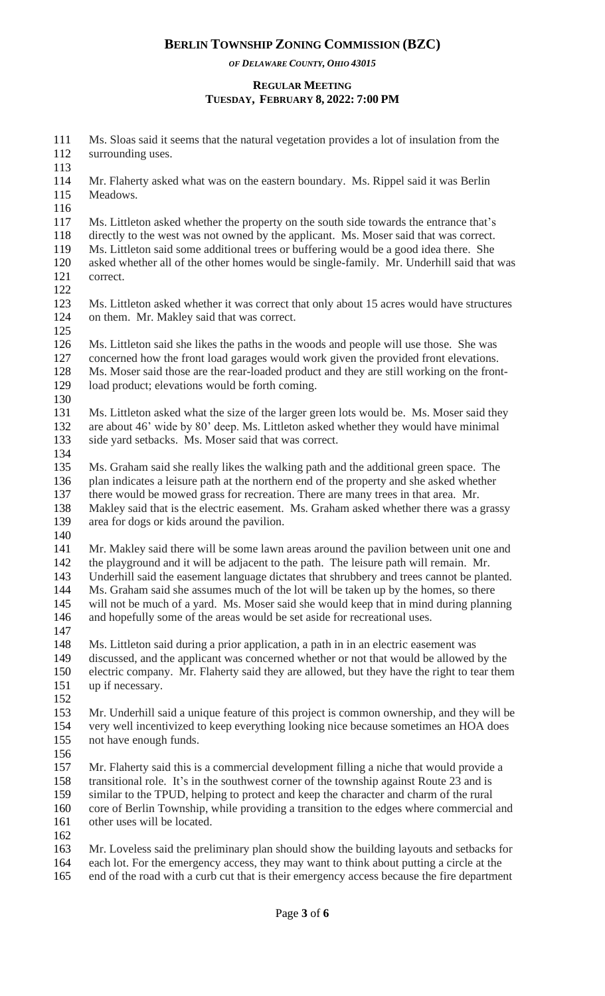*OF DELAWARE COUNTY, OHIO 43015*

### **REGULAR MEETING TUESDAY, FEBRUARY 8, 2022: 7:00 PM**

 Ms. Sloas said it seems that the natural vegetation provides a lot of insulation from the surrounding uses. Mr. Flaherty asked what was on the eastern boundary. Ms. Rippel said it was Berlin Meadows. Ms. Littleton asked whether the property on the south side towards the entrance that's directly to the west was not owned by the applicant. Ms. Moser said that was correct. Ms. Littleton said some additional trees or buffering would be a good idea there. She asked whether all of the other homes would be single-family. Mr. Underhill said that was correct. Ms. Littleton asked whether it was correct that only about 15 acres would have structures on them. Mr. Makley said that was correct. Ms. Littleton said she likes the paths in the woods and people will use those. She was concerned how the front load garages would work given the provided front elevations. Ms. Moser said those are the rear-loaded product and they are still working on the front- load product; elevations would be forth coming. Ms. Littleton asked what the size of the larger green lots would be. Ms. Moser said they are about 46' wide by 80' deep. Ms. Littleton asked whether they would have minimal side yard setbacks. Ms. Moser said that was correct. Ms. Graham said she really likes the walking path and the additional green space. The 136 plan indicates a leisure path at the northern end of the property and she asked whether there would be mowed grass for recreation. There are many trees in that area. Mr. Makley said that is the electric easement. Ms. Graham asked whether there was a grassy area for dogs or kids around the pavilion. Mr. Makley said there will be some lawn areas around the pavilion between unit one and 142 the playground and it will be adjacent to the path. The leisure path will remain. Mr. Underhill said the easement language dictates that shrubbery and trees cannot be planted. Ms. Graham said she assumes much of the lot will be taken up by the homes, so there will not be much of a yard. Ms. Moser said she would keep that in mind during planning 146 and hopefully some of the areas would be set aside for recreational uses. Ms. Littleton said during a prior application, a path in in an electric easement was discussed, and the applicant was concerned whether or not that would be allowed by the electric company. Mr. Flaherty said they are allowed, but they have the right to tear them up if necessary. Mr. Underhill said a unique feature of this project is common ownership, and they will be very well incentivized to keep everything looking nice because sometimes an HOA does not have enough funds. Mr. Flaherty said this is a commercial development filling a niche that would provide a transitional role. It's in the southwest corner of the township against Route 23 and is similar to the TPUD, helping to protect and keep the character and charm of the rural core of Berlin Township, while providing a transition to the edges where commercial and other uses will be located. Mr. Loveless said the preliminary plan should show the building layouts and setbacks for each lot. For the emergency access, they may want to think about putting a circle at the 165 end of the road with a curb cut that is their emergency access because the fire department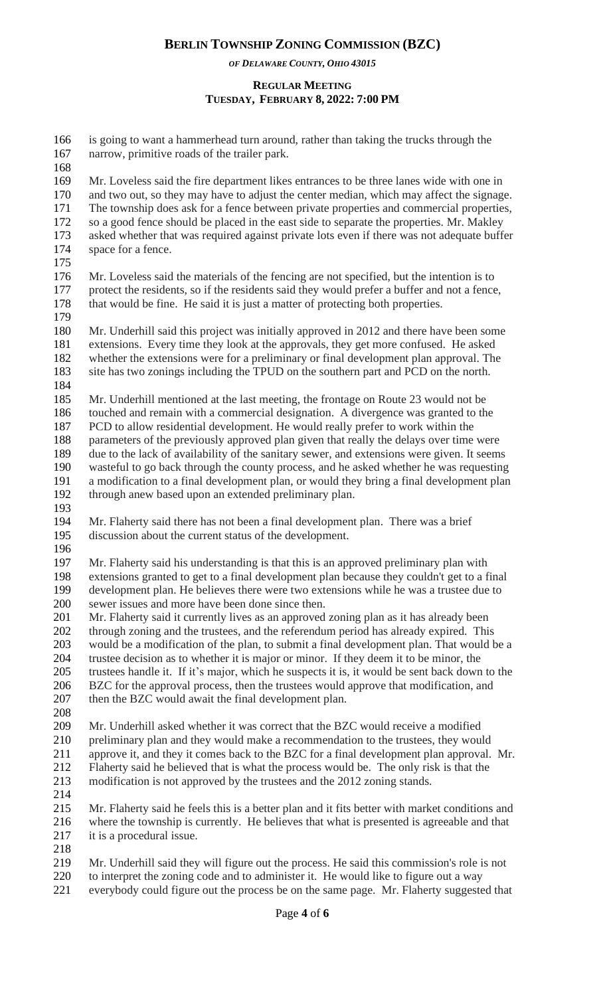*OF DELAWARE COUNTY, OHIO 43015*

### **REGULAR MEETING TUESDAY, FEBRUARY 8, 2022: 7:00 PM**

| 166<br>167 | is going to want a hammerhead turn around, rather than taking the trucks through the<br>narrow, primitive roads of the trailer park.                                      |
|------------|---------------------------------------------------------------------------------------------------------------------------------------------------------------------------|
| 168<br>169 | Mr. Loveless said the fire department likes entrances to be three lanes wide with one in                                                                                  |
| 170        | and two out, so they may have to adjust the center median, which may affect the signage.                                                                                  |
| 171        | The township does ask for a fence between private properties and commercial properties,                                                                                   |
| 172        | so a good fence should be placed in the east side to separate the properties. Mr. Makley                                                                                  |
| 173        | asked whether that was required against private lots even if there was not adequate buffer                                                                                |
| 174        | space for a fence.                                                                                                                                                        |
| 175        |                                                                                                                                                                           |
| 176        | Mr. Loveless said the materials of the fencing are not specified, but the intention is to                                                                                 |
| 177        | protect the residents, so if the residents said they would prefer a buffer and not a fence,                                                                               |
| 178        | that would be fine. He said it is just a matter of protecting both properties.                                                                                            |
| 179        |                                                                                                                                                                           |
| 180        | Mr. Underhill said this project was initially approved in 2012 and there have been some                                                                                   |
| 181        | extensions. Every time they look at the approvals, they get more confused. He asked                                                                                       |
| 182        | whether the extensions were for a preliminary or final development plan approval. The                                                                                     |
| 183        | site has two zonings including the TPUD on the southern part and PCD on the north.                                                                                        |
| 184        |                                                                                                                                                                           |
| 185        | Mr. Underhill mentioned at the last meeting, the frontage on Route 23 would not be                                                                                        |
| 186<br>187 | touched and remain with a commercial designation. A divergence was granted to the                                                                                         |
| 188        | PCD to allow residential development. He would really prefer to work within the<br>parameters of the previously approved plan given that really the delays over time were |
| 189        | due to the lack of availability of the sanitary sewer, and extensions were given. It seems                                                                                |
| 190        | wasteful to go back through the county process, and he asked whether he was requesting                                                                                    |
| 191        | a modification to a final development plan, or would they bring a final development plan                                                                                  |
| 192        | through anew based upon an extended preliminary plan.                                                                                                                     |
| 193        |                                                                                                                                                                           |
| 194        | Mr. Flaherty said there has not been a final development plan. There was a brief                                                                                          |
| 195        | discussion about the current status of the development.                                                                                                                   |
| 196        |                                                                                                                                                                           |
| 197        | Mr. Flaherty said his understanding is that this is an approved preliminary plan with                                                                                     |
| 198        | extensions granted to get to a final development plan because they couldn't get to a final                                                                                |
| 199        | development plan. He believes there were two extensions while he was a trustee due to                                                                                     |
| 200        | sewer issues and more have been done since then.                                                                                                                          |
| 201        | Mr. Flaherty said it currently lives as an approved zoning plan as it has already been                                                                                    |
| 202        | through zoning and the trustees, and the referendum period has already expired. This                                                                                      |
| 203        | would be a modification of the plan, to submit a final development plan. That would be a                                                                                  |
| 204        | trustee decision as to whether it is major or minor. If they deem it to be minor, the                                                                                     |
| 205        | trustees handle it. If it's major, which he suspects it is, it would be sent back down to the                                                                             |
| 206        | BZC for the approval process, then the trustees would approve that modification, and                                                                                      |
| 207        | then the BZC would await the final development plan.                                                                                                                      |
| 208        |                                                                                                                                                                           |
| 209        | Mr. Underhill asked whether it was correct that the BZC would receive a modified                                                                                          |
| 210        | preliminary plan and they would make a recommendation to the trustees, they would                                                                                         |
| 211        | approve it, and they it comes back to the BZC for a final development plan approval. Mr.                                                                                  |
| 212        | Flaherty said he believed that is what the process would be. The only risk is that the                                                                                    |
| 213        | modification is not approved by the trustees and the 2012 zoning stands.                                                                                                  |
| 214        |                                                                                                                                                                           |
| 215        | Mr. Flaherty said he feels this is a better plan and it fits better with market conditions and                                                                            |
| 216        | where the township is currently. He believes that what is presented is agreeable and that                                                                                 |
| 217        | it is a procedural issue.                                                                                                                                                 |
| 218        |                                                                                                                                                                           |
| 219        | Mr. Underhill said they will figure out the process. He said this commission's role is not                                                                                |
| 220        | to interpret the zoning code and to administer it. He would like to figure out a way                                                                                      |
| 221        | everybody could figure out the process be on the same page. Mr. Flaherty suggested that                                                                                   |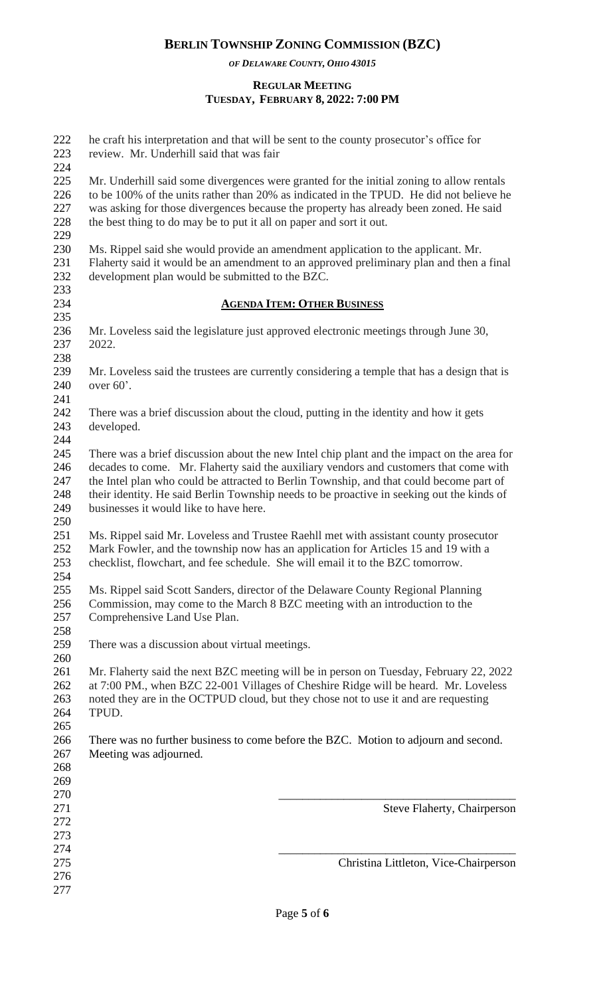*OF DELAWARE COUNTY, OHIO 43015*

### **REGULAR MEETING TUESDAY, FEBRUARY 8, 2022: 7:00 PM**

| 222<br>223                             | he craft his interpretation and that will be sent to the county prosecutor's office for<br>review. Mr. Underhill said that was fair                                                                                                                                                                                                                                                                                   |
|----------------------------------------|-----------------------------------------------------------------------------------------------------------------------------------------------------------------------------------------------------------------------------------------------------------------------------------------------------------------------------------------------------------------------------------------------------------------------|
| 224<br>225<br>226<br>227<br>228<br>229 | Mr. Underhill said some divergences were granted for the initial zoning to allow rentals<br>to be 100% of the units rather than 20% as indicated in the TPUD. He did not believe he<br>was asking for those divergences because the property has already been zoned. He said<br>the best thing to do may be to put it all on paper and sort it out.                                                                   |
| 230<br>231<br>232<br>233               | Ms. Rippel said she would provide an amendment application to the applicant. Mr.<br>Flaherty said it would be an amendment to an approved preliminary plan and then a final<br>development plan would be submitted to the BZC.                                                                                                                                                                                        |
| 234                                    | <b>AGENDA ITEM: OTHER BUSINESS</b>                                                                                                                                                                                                                                                                                                                                                                                    |
| 235<br>236<br>237<br>238               | Mr. Loveless said the legislature just approved electronic meetings through June 30,<br>2022.                                                                                                                                                                                                                                                                                                                         |
| 239<br>240<br>241                      | Mr. Loveless said the trustees are currently considering a temple that has a design that is<br>over $60^\circ$ .                                                                                                                                                                                                                                                                                                      |
| 242<br>243<br>244                      | There was a brief discussion about the cloud, putting in the identity and how it gets<br>developed.                                                                                                                                                                                                                                                                                                                   |
| 245<br>246<br>247<br>248<br>249<br>250 | There was a brief discussion about the new Intel chip plant and the impact on the area for<br>decades to come. Mr. Flaherty said the auxiliary vendors and customers that come with<br>the Intel plan who could be attracted to Berlin Township, and that could become part of<br>their identity. He said Berlin Township needs to be proactive in seeking out the kinds of<br>businesses it would like to have here. |
| 251<br>252<br>253                      | Ms. Rippel said Mr. Loveless and Trustee Raehll met with assistant county prosecutor<br>Mark Fowler, and the township now has an application for Articles 15 and 19 with a<br>checklist, flowchart, and fee schedule. She will email it to the BZC tomorrow.                                                                                                                                                          |
| 254<br>255<br>256<br>257               | Ms. Rippel said Scott Sanders, director of the Delaware County Regional Planning<br>Commission, may come to the March 8 BZC meeting with an introduction to the<br>Comprehensive Land Use Plan.                                                                                                                                                                                                                       |
| 258<br>259<br>260                      | There was a discussion about virtual meetings.                                                                                                                                                                                                                                                                                                                                                                        |
| 261<br>262<br>263<br>264               | Mr. Flaherty said the next BZC meeting will be in person on Tuesday, February 22, 2022<br>at 7:00 PM., when BZC 22-001 Villages of Cheshire Ridge will be heard. Mr. Loveless<br>noted they are in the OCTPUD cloud, but they chose not to use it and are requesting<br>TPUD.                                                                                                                                         |
| 265<br>266<br>267<br>268<br>269        | There was no further business to come before the BZC. Motion to adjourn and second.<br>Meeting was adjourned.                                                                                                                                                                                                                                                                                                         |
| 270<br>271<br>272<br>273               | <b>Steve Flaherty, Chairperson</b>                                                                                                                                                                                                                                                                                                                                                                                    |
| 274<br>275<br>276<br>277               | Christina Littleton, Vice-Chairperson                                                                                                                                                                                                                                                                                                                                                                                 |